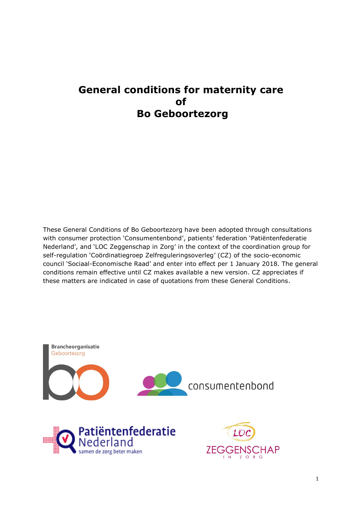# **General conditions for maternity care of Bo Geboortezorg**

These General Conditions of Bo Geboortezorg have been adopted through consultations with consumer protection 'Consumentenbond', patients' federation 'Patiëntenfederatie Nederland', and 'LOC Zeggenschap in Zorg' in the context of the coordination group for self-regulation 'Coördinatiegroep Zelfreguleringsoverleg' (CZ) of the socio-economic council 'Sociaal-Economische Raad' and enter into effect per 1 January 2018. The general conditions remain effective until CZ makes available a new version. CZ appreciates if these matters are indicated in case of quotations from these General Conditions.

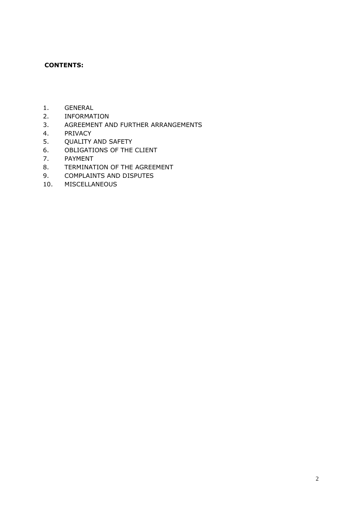### **CONTENTS:**

- 1. GENERAL
- 2. INFORMATION
- 3. AGREEMENT AND FURTHER ARRANGEMENTS
- 4. PRIVACY
- 5. QUALITY AND SAFETY
- 6. OBLIGATIONS OF THE CLIENT
- 7. PAYMENT
- 8. TERMINATION OF THE AGREEMENT
- 9. COMPLAINTS AND DISPUTES
- 10. MISCELLANEOUS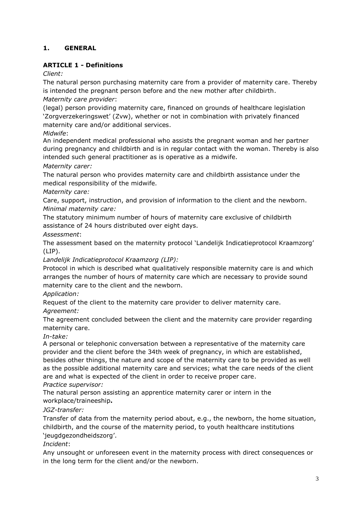# **1. GENERAL**

# **ARTICLE 1 - Definitions**

*Client:*

The natural person purchasing maternity care from a provider of maternity care. Thereby is intended the pregnant person before and the new mother after childbirth. *Maternity care provider*:

(legal) person providing maternity care, financed on grounds of healthcare legislation 'Zorgverzekeringswet' (Zvw), whether or not in combination with privately financed maternity care and/or additional services.

# *Midwife*:

An independent medical professional who assists the pregnant woman and her partner during pregnancy and childbirth and is in regular contact with the woman. Thereby is also intended such general practitioner as is operative as a midwife.

# *Maternity carer:*

The natural person who provides maternity care and childbirth assistance under the medical responsibility of the midwife.

*Maternity care:*

Care, support, instruction, and provision of information to the client and the newborn. *Minimal maternity care:*

The statutory minimum number of hours of maternity care exclusive of childbirth assistance of 24 hours distributed over eight days.

*Assessment*:

The assessment based on the maternity protocol 'Landelijk Indicatieprotocol Kraamzorg' (LIP).

*Landelijk Indicatieprotocol Kraamzorg (LIP):*

Protocol in which is described what qualitatively responsible maternity care is and which arranges the number of hours of maternity care which are necessary to provide sound maternity care to the client and the newborn.

*Application:*

Request of the client to the maternity care provider to deliver maternity care.

### *Agreement:*

The agreement concluded between the client and the maternity care provider regarding maternity care.

# *In-take:*

A personal or telephonic conversation between a representative of the maternity care provider and the client before the 34th week of pregnancy, in which are established, besides other things, the nature and scope of the maternity care to be provided as well as the possible additional maternity care and services; what the care needs of the client are and what is expected of the client in order to receive proper care. *Practice supervisor:*

The natural person assisting an apprentice maternity carer or intern in the workplace/traineeship**.**

# *JGZ-transfer:*

Transfer of data from the maternity period about, e.g., the newborn, the home situation, childbirth, and the course of the maternity period, to youth healthcare institutions 'jeugdgezondheidszorg'.

*Incident*:

Any unsought or unforeseen event in the maternity process with direct consequences or in the long term for the client and/or the newborn.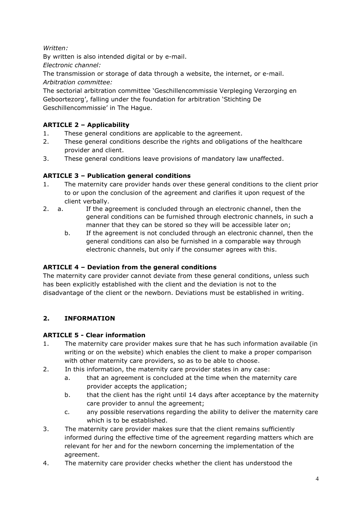*Written:* 

By written is also intended digital or by e-mail.

*Electronic channel:*

The transmission or storage of data through a website, the internet, or e-mail. *Arbitration committee:*

The sectorial arbitration committee 'Geschillencommissie Verpleging Verzorging en Geboortezorg', falling under the foundation for arbitration 'Stichting De Geschillencommissie' in The Hague.

# **ARTICLE 2 – Applicability**

- 1. These general conditions are applicable to the agreement.
- 2. These general conditions describe the rights and obligations of the healthcare provider and client.
- 3. These general conditions leave provisions of mandatory law unaffected.

# **ARTICLE 3 – Publication general conditions**

- 1. The maternity care provider hands over these general conditions to the client prior to or upon the conclusion of the agreement and clarifies it upon request of the client verbally.
- 2. a. If the agreement is concluded through an electronic channel, then the general conditions can be furnished through electronic channels, in such a manner that they can be stored so they will be accessible later on;
	- b. If the agreement is not concluded through an electronic channel, then the general conditions can also be furnished in a comparable way through electronic channels, but only if the consumer agrees with this.

# **ARTICLE 4 – Deviation from the general conditions**

The maternity care provider cannot deviate from these general conditions, unless such has been explicitly established with the client and the deviation is not to the disadvantage of the client or the newborn. Deviations must be established in writing.

# **2. INFORMATION**

# **ARTICLE 5 - Clear information**

- 1. The maternity care provider makes sure that he has such information available (in writing or on the website) which enables the client to make a proper comparison with other maternity care providers, so as to be able to choose.
- 2. In this information, the maternity care provider states in any case:
	- a. that an agreement is concluded at the time when the maternity care provider accepts the application;
	- b. that the client has the right until 14 days after acceptance by the maternity care provider to annul the agreement;
	- c. any possible reservations regarding the ability to deliver the maternity care which is to be established.
- 3. The maternity care provider makes sure that the client remains sufficiently informed during the effective time of the agreement regarding matters which are relevant for her and for the newborn concerning the implementation of the agreement.
- 4. The maternity care provider checks whether the client has understood the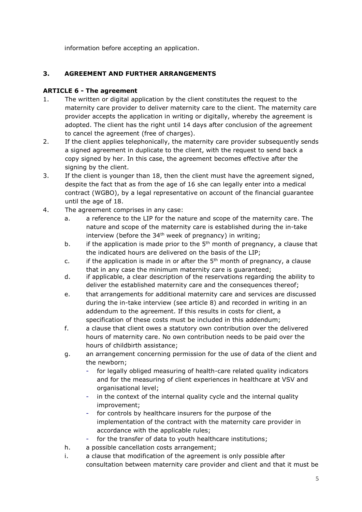information before accepting an application.

# **3. AGREEMENT AND FURTHER ARRANGEMENTS**

# **ARTICLE 6 - The agreement**

- 1. The written or digital application by the client constitutes the request to the maternity care provider to deliver maternity care to the client. The maternity care provider accepts the application in writing or digitally, whereby the agreement is adopted. The client has the right until 14 days after conclusion of the agreement to cancel the agreement (free of charges).
- 2. If the client applies telephonically, the maternity care provider subsequently sends a signed agreement in duplicate to the client, with the request to send back a copy signed by her. In this case, the agreement becomes effective after the signing by the client.
- 3. If the client is younger than 18, then the client must have the agreement signed, despite the fact that as from the age of 16 she can legally enter into a medical contract (WGBO), by a legal representative on account of the financial guarantee until the age of 18.
- 4. The agreement comprises in any case:
	- a. a reference to the LIP for the nature and scope of the maternity care. The nature and scope of the maternity care is established during the in-take interview (before the  $34<sup>th</sup>$  week of pregnancy) in writing;
	- b. if the application is made prior to the  $5<sup>th</sup>$  month of pregnancy, a clause that the indicated hours are delivered on the basis of the LIP;
	- c. if the application is made in or after the  $5<sup>th</sup>$  month of pregnancy, a clause that in any case the minimum maternity care is guaranteed;
	- d. if applicable, a clear description of the reservations regarding the ability to deliver the established maternity care and the consequences thereof;
	- e. that arrangements for additional maternity care and services are discussed during the in-take interview (see article 8) and recorded in writing in an addendum to the agreement. If this results in costs for client, a specification of these costs must be included in this addendum;
	- f. a clause that client owes a statutory own contribution over the delivered hours of maternity care. No own contribution needs to be paid over the hours of childbirth assistance;
	- g. an arrangement concerning permission for the use of data of the client and the newborn;
		- for legally obliged measuring of health-care related quality indicators and for the measuring of client experiences in healthcare at VSV and organisational level;
		- in the context of the internal quality cycle and the internal quality improvement;
		- for controls by healthcare insurers for the purpose of the implementation of the contract with the maternity care provider in accordance with the applicable rules;
		- for the transfer of data to youth healthcare institutions;
	- h. a possible cancellation costs arrangement;
	- i. a clause that modification of the agreement is only possible after consultation between maternity care provider and client and that it must be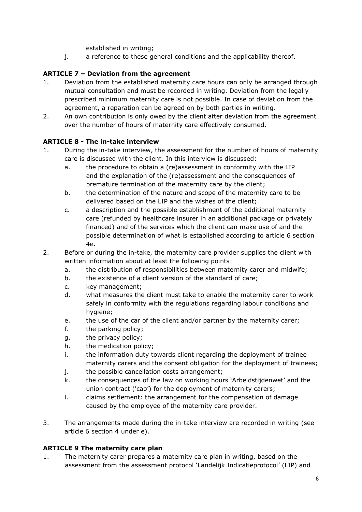established in writing;

j. a reference to these general conditions and the applicability thereof.

# **ARTICLE 7 – Deviation from the agreement**

- 1. Deviation from the established maternity care hours can only be arranged through mutual consultation and must be recorded in writing. Deviation from the legally prescribed minimum maternity care is not possible. In case of deviation from the agreement, a reparation can be agreed on by both parties in writing.
- 2. An own contribution is only owed by the client after deviation from the agreement over the number of hours of maternity care effectively consumed.

# **ARTICLE 8 - The in-take interview**

- 1. During the in-take interview, the assessment for the number of hours of maternity care is discussed with the client. In this interview is discussed:
	- a. the procedure to obtain a (re)assessment in conformity with the LIP and the explanation of the (re)assessment and the consequences of premature termination of the maternity care by the client;
	- b. the determination of the nature and scope of the maternity care to be delivered based on the LIP and the wishes of the client;
	- c. a description and the possible establishment of the additional maternity care (refunded by healthcare insurer in an additional package or privately financed) and of the services which the client can make use of and the possible determination of what is established according to article 6 section 4e.
- 2. Before or during the in-take, the maternity care provider supplies the client with written information about at least the following points:
	- a. the distribution of responsibilities between maternity carer and midwife;
	- b. the existence of a client version of the standard of care;
	- c. key management;
	- d. what measures the client must take to enable the maternity carer to work safely in conformity with the regulations regarding labour conditions and hygiene;
	- e. the use of the car of the client and/or partner by the maternity carer;
	- f. the parking policy;
	- g. the privacy policy;
	- h. the medication policy;
	- i. the information duty towards client regarding the deployment of trainee maternity carers and the consent obligation for the deployment of trainees;
	- j. the possible cancellation costs arrangement;
	- k. the consequences of the law on working hours 'Arbeidstijdenwet' and the union contract ('cao') for the deployment of maternity carers;
	- l. claims settlement: the arrangement for the compensation of damage caused by the employee of the maternity care provider.
- 3. The arrangements made during the in-take interview are recorded in writing (see article 6 section 4 under e).

# **ARTICLE 9 The maternity care plan**

1. The maternity carer prepares a maternity care plan in writing, based on the assessment from the assessment protocol 'Landelijk Indicatieprotocol' (LIP) and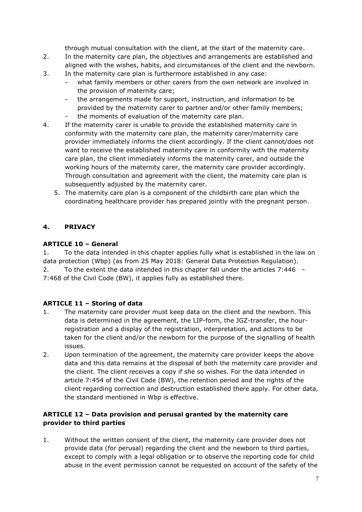through mutual consultation with the client, at the start of the maternity care.

- 2. In the maternity care plan, the objectives and arrangements are established and aligned with the wishes, habits, and circumstances of the client and the newborn.
- 3. In the maternity care plan is furthermore established in any case:
	- what family members or other carers from the own network are involved in the provision of maternity care;
	- the arrangements made for support, instruction, and information to be provided by the maternity carer to partner and/or other family members;
	- the moments of evaluation of the maternity care plan.
- 4. If the maternity carer is unable to provide the established maternity care in conformity with the maternity care plan, the maternity carer/maternity care provider immediately informs the client accordingly. If the client cannot/does not want to receive the established maternity care in conformity with the maternity care plan, the client immediately informs the maternity carer, and outside the working hours of the maternity carer, the maternity care provider accordingly. Through consultation and agreement with the client, the maternity care plan is subsequently adjusted by the maternity carer.
	- 5. The maternity care plan is a component of the childbirth care plan which the coordinating healthcare provider has prepared jointly with the pregnant person.

# **4. PRIVACY**

# **ARTICLE 10 – General**

1. To the data intended in this chapter applies fully what is established in the law on data protection (Wbp) (as from 25 May 2018: General Data Protection Regulation).

2. To the extent the data intended in this chapter fall under the articles 7:446 – 7:468 of the Civil Code (BW), it applies fully as established there.

# **ARTICLE 11 – Storing of data**

- 1. The maternity care provider must keep data on the client and the newborn. This data is determined in the agreement, the LIP-form, the JGZ-transfer, the hourregistration and a display of the registration, interpretation, and actions to be taken for the client and/or the newborn for the purpose of the signalling of health issues.
- 2. Upon termination of the agreement, the maternity care provider keeps the above data and this data remains at the disposal of both the maternity care provider and the client. The client receives a copy if she so wishes. For the data intended in article 7:454 of the Civil Code (BW), the retention period and the rights of the client regarding correction and destruction established there apply. For other data, the standard mentioned in Wbp is effective.

# **ARTICLE 12 – Data provision and perusal granted by the maternity care provider to third parties**

1. Without the written consent of the client, the maternity care provider does not provide data (for perusal) regarding the client and the newborn to third parties, except to comply with a legal obligation or to observe the reporting code for child abuse in the event permission cannot be requested on account of the safety of the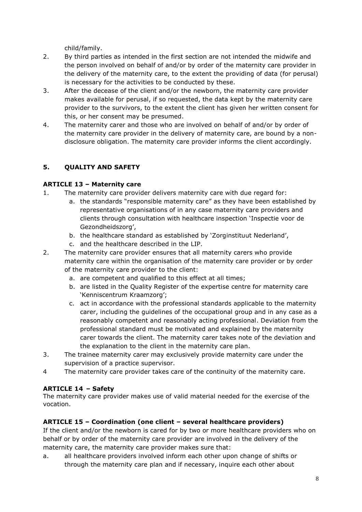child/family.

- 2. By third parties as intended in the first section are not intended the midwife and the person involved on behalf of and/or by order of the maternity care provider in the delivery of the maternity care, to the extent the providing of data (for perusal) is necessary for the activities to be conducted by these.
- 3. After the decease of the client and/or the newborn, the maternity care provider makes available for perusal, if so requested, the data kept by the maternity care provider to the survivors, to the extent the client has given her written consent for this, or her consent may be presumed.
- 4. The maternity carer and those who are involved on behalf of and/or by order of the maternity care provider in the delivery of maternity care, are bound by a nondisclosure obligation. The maternity care provider informs the client accordingly.

# **5. QUALITY AND SAFETY**

# **ARTICLE 13 – Maternity care**

- 1. The maternity care provider delivers maternity care with due regard for:
	- a. the standards "responsible maternity care" as they have been established by representative organisations of in any case maternity care providers and clients through consultation with healthcare inspection 'Inspectie voor de Gezondheidszorg',
	- b. the healthcare standard as established by 'Zorginstituut Nederland',
	- c. and the healthcare described in the LIP.
- 2. The maternity care provider ensures that all maternity carers who provide maternity care within the organisation of the maternity care provider or by order of the maternity care provider to the client:
	- a. are competent and qualified to this effect at all times;
	- b. are listed in the Quality Register of the expertise centre for maternity care 'Kenniscentrum Kraamzorg';
	- c. act in accordance with the professional standards applicable to the maternity carer, including the guidelines of the occupational group and in any case as a reasonably competent and reasonably acting professional. Deviation from the professional standard must be motivated and explained by the maternity carer towards the client. The maternity carer takes note of the deviation and the explanation to the client in the maternity care plan.
- 3. The trainee maternity carer may exclusively provide maternity care under the supervision of a practice supervisor.
- 4 The maternity care provider takes care of the continuity of the maternity care.

# **ARTICLE 14 – Safety**

The maternity care provider makes use of valid material needed for the exercise of the vocation.

# **ARTICLE 15 – Coordination (one client – several healthcare providers)**

If the client and/or the newborn is cared for by two or more healthcare providers who on behalf or by order of the maternity care provider are involved in the delivery of the maternity care, the maternity care provider makes sure that:

a. all healthcare providers involved inform each other upon change of shifts or through the maternity care plan and if necessary, inquire each other about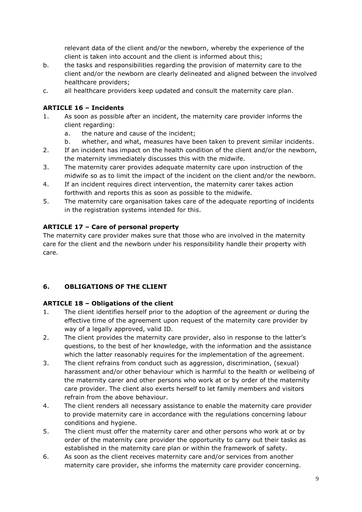relevant data of the client and/or the newborn, whereby the experience of the client is taken into account and the client is informed about this;

- b. the tasks and responsibilities regarding the provision of maternity care to the client and/or the newborn are clearly delineated and aligned between the involved healthcare providers;
- c. all healthcare providers keep updated and consult the maternity care plan.

# **ARTICLE 16 – Incidents**

- 1. As soon as possible after an incident, the maternity care provider informs the client regarding:
	- a. the nature and cause of the incident;
	- b. whether, and what, measures have been taken to prevent similar incidents.
- 2. If an incident has impact on the health condition of the client and/or the newborn, the maternity immediately discusses this with the midwife.
- 3. The maternity carer provides adequate maternity care upon instruction of the midwife so as to limit the impact of the incident on the client and/or the newborn.
- 4. If an incident requires direct intervention, the maternity carer takes action forthwith and reports this as soon as possible to the midwife.
- 5. The maternity care organisation takes care of the adequate reporting of incidents in the registration systems intended for this.

# **ARTICLE 17 – Care of personal property**

The maternity care provider makes sure that those who are involved in the maternity care for the client and the newborn under his responsibility handle their property with care.

# **6. OBLIGATIONS OF THE CLIENT**

# **ARTICLE 18 – Obligations of the client**

- 1. The client identifies herself prior to the adoption of the agreement or during the effective time of the agreement upon request of the maternity care provider by way of a legally approved, valid ID.
- 2. The client provides the maternity care provider, also in response to the latter's questions, to the best of her knowledge, with the information and the assistance which the latter reasonably requires for the implementation of the agreement.
- 3. The client refrains from conduct such as aggression, discrimination, (sexual) harassment and/or other behaviour which is harmful to the health or wellbeing of the maternity carer and other persons who work at or by order of the maternity care provider. The client also exerts herself to let family members and visitors refrain from the above behaviour.
- 4. The client renders all necessary assistance to enable the maternity care provider to provide maternity care in accordance with the regulations concerning labour conditions and hygiene.
- 5. The client must offer the maternity carer and other persons who work at or by order of the maternity care provider the opportunity to carry out their tasks as established in the maternity care plan or within the framework of safety.
- 6. As soon as the client receives maternity care and/or services from another maternity care provider, she informs the maternity care provider concerning.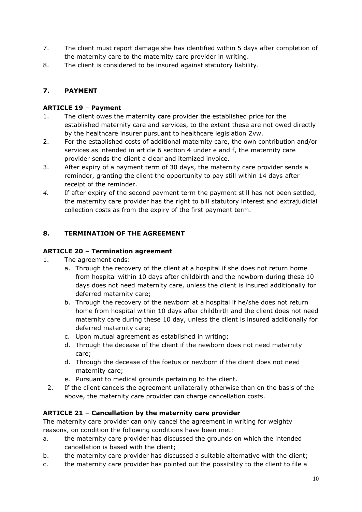- 7. The client must report damage she has identified within 5 days after completion of the maternity care to the maternity care provider in writing.
- 8. The client is considered to be insured against statutory liability.

# **7. PAYMENT**

# **ARTICLE 19** – **Payment**

- 1. The client owes the maternity care provider the established price for the established maternity care and services, to the extent these are not owed directly by the healthcare insurer pursuant to healthcare legislation Zvw.
- 2. For the established costs of additional maternity care, the own contribution and/or services as intended in article 6 section 4 under e and f, the maternity care provider sends the client a clear and itemized invoice.
- 3. After expiry of a payment term of 30 days, the maternity care provider sends a reminder, granting the client the opportunity to pay still within 14 days after receipt of the reminder.
- *4.* If after expiry of the second payment term the payment still has not been settled, the maternity care provider has the right to bill statutory interest and extrajudicial collection costs as from the expiry of the first payment term.

# **8. TERMINATION OF THE AGREEMENT**

# **ARTICLE 20 – Termination agreement**

- 1. The agreement ends:
	- a. Through the recovery of the client at a hospital if she does not return home from hospital within 10 days after childbirth and the newborn during these 10 days does not need maternity care, unless the client is insured additionally for deferred maternity care;
	- b. Through the recovery of the newborn at a hospital if he/she does not return home from hospital within 10 days after childbirth and the client does not need maternity care during these 10 day, unless the client is insured additionally for deferred maternity care;
	- c. Upon mutual agreement as established in writing;
	- d. Through the decease of the client if the newborn does not need maternity care;
	- d. Through the decease of the foetus or newborn if the client does not need maternity care;
	- e. Pursuant to medical grounds pertaining to the client.
	- 2. If the client cancels the agreement unilaterally otherwise than on the basis of the above, the maternity care provider can charge cancellation costs.

# **ARTICLE 21 – Cancellation by the maternity care provider**

The maternity care provider can only cancel the agreement in writing for weighty reasons, on condition the following conditions have been met:

- a. the maternity care provider has discussed the grounds on which the intended cancellation is based with the client;
- b. the maternity care provider has discussed a suitable alternative with the client;
- c. the maternity care provider has pointed out the possibility to the client to file a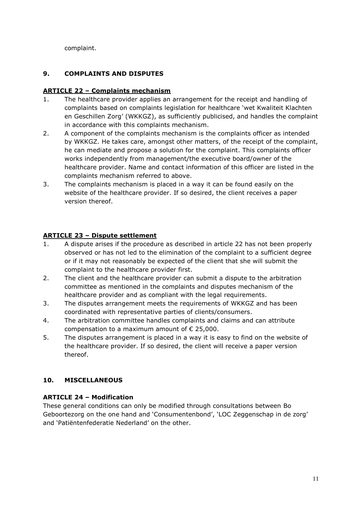complaint.

# **9. COMPLAINTS AND DISPUTES**

### **ARTICLE 22 – Complaints mechanism**

- 1. The healthcare provider applies an arrangement for the receipt and handling of complaints based on complaints legislation for healthcare 'wet Kwaliteit Klachten en Geschillen Zorg' (WKKGZ), as sufficiently publicised, and handles the complaint in accordance with this complaints mechanism.
- 2. A component of the complaints mechanism is the complaints officer as intended by WKKGZ. He takes care, amongst other matters, of the receipt of the complaint, he can mediate and propose a solution for the complaint. This complaints officer works independently from management/the executive board/owner of the healthcare provider. Name and contact information of this officer are listed in the complaints mechanism referred to above.
- 3. The complaints mechanism is placed in a way it can be found easily on the website of the healthcare provider. If so desired, the client receives a paper version thereof.

# **ARTICLE 23 – Dispute settlement**

- 1. A dispute arises if the procedure as described in article 22 has not been properly observed or has not led to the elimination of the complaint to a sufficient degree or if it may not reasonably be expected of the client that she will submit the complaint to the healthcare provider first.
- 2. The client and the healthcare provider can submit a dispute to the arbitration committee as mentioned in the complaints and disputes mechanism of the healthcare provider and as compliant with the legal requirements.
- 3. The disputes arrangement meets the requirements of WKKGZ and has been coordinated with representative parties of clients/consumers.
- 4. The arbitration committee handles complaints and claims and can attribute compensation to a maximum amount of  $\epsilon$  25,000.
- 5. The disputes arrangement is placed in a way it is easy to find on the website of the healthcare provider. If so desired, the client will receive a paper version thereof.

# **10. MISCELLANEOUS**

# **ARTICLE 24 – Modification**

These general conditions can only be modified through consultations between Bo Geboortezorg on the one hand and 'Consumentenbond', 'LOC Zeggenschap in de zorg' and 'Patiëntenfederatie Nederland' on the other.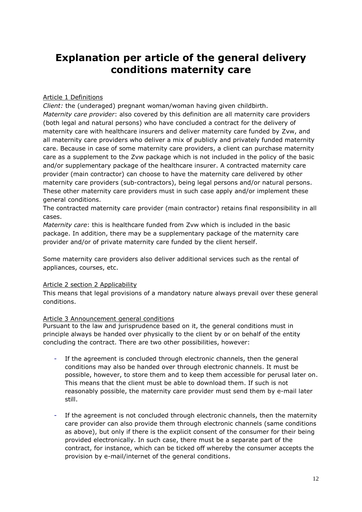# **Explanation per article of the general delivery conditions maternity care**

### Article 1 Definitions

*Client:* the (underaged) pregnant woman/woman having given childbirth. *Maternity care provider*: also covered by this definition are all maternity care providers (both legal and natural persons) who have concluded a contract for the delivery of maternity care with healthcare insurers and deliver maternity care funded by Zvw, and all maternity care providers who deliver a mix of publicly and privately funded maternity care. Because in case of some maternity care providers, a client can purchase maternity care as a supplement to the Zvw package which is not included in the policy of the basic and/or supplementary package of the healthcare insurer. A contracted maternity care provider (main contractor) can choose to have the maternity care delivered by other maternity care providers (sub-contractors), being legal persons and/or natural persons. These other maternity care providers must in such case apply and/or implement these general conditions.

The contracted maternity care provider (main contractor) retains final responsibility in all cases.

*Maternity care*: this is healthcare funded from Zvw which is included in the basic package. In addition, there may be a supplementary package of the maternity care provider and/or of private maternity care funded by the client herself.

Some maternity care providers also deliver additional services such as the rental of appliances, courses, etc.

### Article 2 section 2 Applicability

This means that legal provisions of a mandatory nature always prevail over these general conditions.

### Article 3 Announcement general conditions

Pursuant to the law and jurisprudence based on it, the general conditions must in principle always be handed over physically to the client by or on behalf of the entity concluding the contract. There are two other possibilities, however:

- If the agreement is concluded through electronic channels, then the general conditions may also be handed over through electronic channels. It must be possible, however, to store them and to keep them accessible for perusal later on. This means that the client must be able to download them. If such is not reasonably possible, the maternity care provider must send them by e-mail later still.
- If the agreement is not concluded through electronic channels, then the maternity care provider can also provide them through electronic channels (same conditions as above), but only if there is the explicit consent of the consumer for their being provided electronically. In such case, there must be a separate part of the contract, for instance, which can be ticked off whereby the consumer accepts the provision by e-mail/internet of the general conditions.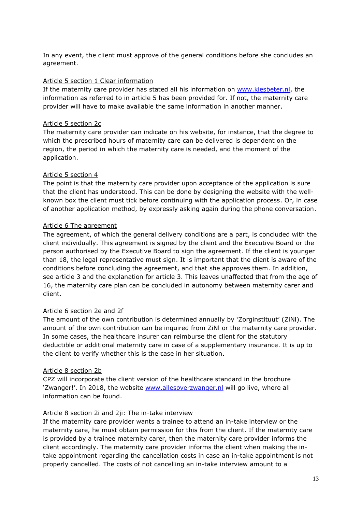In any event, the client must approve of the general conditions before she concludes an agreement.

#### Article 5 section 1 Clear information

If the maternity care provider has stated all his information on [www.kiesbeter.nl,](http://www.kiesbeter.nl/) the information as referred to in article 5 has been provided for. If not, the maternity care provider will have to make available the same information in another manner.

#### Article 5 section 2c

The maternity care provider can indicate on his website, for instance, that the degree to which the prescribed hours of maternity care can be delivered is dependent on the region, the period in which the maternity care is needed, and the moment of the application.

### Article 5 section 4

The point is that the maternity care provider upon acceptance of the application is sure that the client has understood. This can be done by designing the website with the wellknown box the client must tick before continuing with the application process. Or, in case of another application method, by expressly asking again during the phone conversation.

### Article 6 The agreement

The agreement, of which the general delivery conditions are a part, is concluded with the client individually. This agreement is signed by the client and the Executive Board or the person authorised by the Executive Board to sign the agreement. If the client is younger than 18, the legal representative must sign. It is important that the client is aware of the conditions before concluding the agreement, and that she approves them. In addition, see article 3 and the explanation for article 3. This leaves unaffected that from the age of 16, the maternity care plan can be concluded in autonomy between maternity carer and client.

### Article 6 section 2e and 2f

The amount of the own contribution is determined annually by 'Zorginstituut' (ZiNl). The amount of the own contribution can be inquired from ZiNl or the maternity care provider. In some cases, the healthcare insurer can reimburse the client for the statutory deductible or additional maternity care in case of a supplementary insurance. It is up to the client to verify whether this is the case in her situation.

### Article 8 section 2b

CPZ will incorporate the client version of the healthcare standard in the brochure 'Zwanger!'. In 2018, the website [www.allesoverzwanger.nl](http://www.allesoverzwanger.nl/) will go live, where all information can be found.

### Article 8 section 2i and 2ji: The in-take interview

If the maternity care provider wants a trainee to attend an in-take interview or the maternity care, he must obtain permission for this from the client. If the maternity care is provided by a trainee maternity carer, then the maternity care provider informs the client accordingly. The maternity care provider informs the client when making the intake appointment regarding the cancellation costs in case an in-take appointment is not properly cancelled. The costs of not cancelling an in-take interview amount to a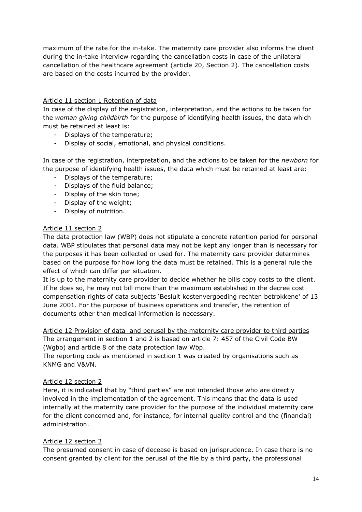maximum of the rate for the in-take. The maternity care provider also informs the client during the in-take interview regarding the cancellation costs in case of the unilateral cancellation of the healthcare agreement (article 20, Section 2). The cancellation costs are based on the costs incurred by the provider.

#### Article 11 section 1 Retention of data

In case of the display of the registration, interpretation, and the actions to be taken for the *woman giving childbirth* for the purpose of identifying health issues, the data which must be retained at least is:

- Displays of the temperature;
- Display of social, emotional, and physical conditions.

In case of the registration, interpretation, and the actions to be taken for the *newborn* for the purpose of identifying health issues, the data which must be retained at least are:

- Displays of the temperature;
- Displays of the fluid balance;
- Display of the skin tone;
- Display of the weight;
- Display of nutrition.

#### Article 11 section 2

The data protection law (WBP) does not stipulate a concrete retention period for personal data. WBP stipulates that personal data may not be kept any longer than is necessary for the purposes it has been collected or used for. The maternity care provider determines based on the purpose for how long the data must be retained. This is a general rule the effect of which can differ per situation.

It is up to the maternity care provider to decide whether he bills copy costs to the client. If he does so, he may not bill more than the maximum established in the decree cost compensation rights of data subjects 'Besluit kostenvergoeding rechten betrokkene' of 13 June 2001. For the purpose of business operations and transfer, the retention of documents other than medical information is necessary.

Article 12 Provision of data and perusal by the maternity care provider to third parties The arrangement in section 1 and 2 is based on article 7: 457 of the Civil Code BW (Wgbo) and article 8 of the data protection law Wbp.

The reporting code as mentioned in section 1 was created by organisations such as KNMG and V&VN.

#### Article 12 section 2

Here, it is indicated that by "third parties" are not intended those who are directly involved in the implementation of the agreement. This means that the data is used internally at the maternity care provider for the purpose of the individual maternity care for the client concerned and, for instance, for internal quality control and the (financial) administration.

#### Article 12 section 3

The presumed consent in case of decease is based on jurisprudence. In case there is no consent granted by client for the perusal of the file by a third party, the professional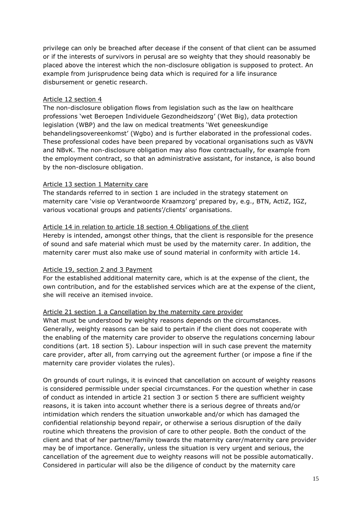privilege can only be breached after decease if the consent of that client can be assumed or if the interests of survivors in perusal are so weighty that they should reasonably be placed above the interest which the non-disclosure obligation is supposed to protect. An example from jurisprudence being data which is required for a life insurance disbursement or genetic research.

### Article 12 section 4

The non-disclosure obligation flows from legislation such as the law on healthcare professions 'wet Beroepen Individuele Gezondheidszorg' (Wet Big), data protection legislation (WBP) and the law on medical treatments 'Wet geneeskundige behandelingsovereenkomst' (Wgbo) and is further elaborated in the professional codes. These professional codes have been prepared by vocational organisations such as V&VN and NBvK. The non-disclosure obligation may also flow contractually, for example from the employment contract, so that an administrative assistant, for instance, is also bound by the non-disclosure obligation.

### Article 13 section 1 Maternity care

The standards referred to in section 1 are included in the strategy statement on maternity care 'visie op Verantwoorde Kraamzorg' prepared by, e.g., BTN, ActiZ, IGZ, various vocational groups and patients'/clients' organisations.

### Article 14 in relation to article 18 section 4 Obligations of the client

Hereby is intended, amongst other things, that the client is responsible for the presence of sound and safe material which must be used by the maternity carer. In addition, the maternity carer must also make use of sound material in conformity with article 14.

### Article 19, section 2 and 3 Payment

For the established additional maternity care, which is at the expense of the client, the own contribution, and for the established services which are at the expense of the client, she will receive an itemised invoice.

### Article 21 section 1 a Cancellation by the maternity care provider

What must be understood by weighty reasons depends on the circumstances. Generally, weighty reasons can be said to pertain if the client does not cooperate with the enabling of the maternity care provider to observe the regulations concerning labour conditions (art. 18 section 5). Labour inspection will in such case prevent the maternity care provider, after all, from carrying out the agreement further (or impose a fine if the maternity care provider violates the rules).

On grounds of court rulings, it is evinced that cancellation on account of weighty reasons is considered permissible under special circumstances. For the question whether in case of conduct as intended in article 21 section 3 or section 5 there are sufficient weighty reasons, it is taken into account whether there is a serious degree of threats and/or intimidation which renders the situation unworkable and/or which has damaged the confidential relationship beyond repair, or otherwise a serious disruption of the daily routine which threatens the provision of care to other people. Both the conduct of the client and that of her partner/family towards the maternity carer/maternity care provider may be of importance. Generally, unless the situation is very urgent and serious, the cancellation of the agreement due to weighty reasons will not be possible automatically. Considered in particular will also be the diligence of conduct by the maternity care